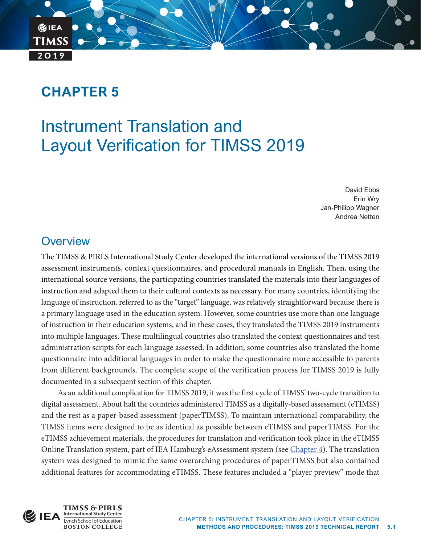# **CHAPTER 5**

**BIEA** 

**TIMSS** 

 $2019$ 

# Instrument Translation and Layout Verification for TIMSS 2019

David Ebbs Erin Wry Jan-Philipp Wagner Andrea Netten

# **Overview**

The TIMSS & PIRLS International Study Center developed the international versions of the TIMSS 2019 assessment instruments, context questionnaires, and procedural manuals in English. Then, using the international source versions, the participating countries translated the materials into their languages of instruction and adapted them to their cultural contexts as necessary. For many countries, identifying the language of instruction, referred to as the "target" language, was relatively straightforward because there is a primary language used in the education system. However, some countries use more than one language of instruction in their education systems, and in these cases, they translated the TIMSS 2019 instruments into multiple languages. These multilingual countries also translated the context questionnaires and test administration scripts for each language assessed. In addition, some countries also translated the home questionnaire into additional languages in order to make the questionnaire more accessible to parents from different backgrounds. The complete scope of the verification process for TIMSS 2019 is fully documented in a subsequent section of this chapter.

As an additional complication for TIMSS 2019, it was the first cycle of TIMSS' two-cycle transition to digital assessment. About half the countries administered TIMSS as a digitally-based assessment (eTIMSS) and the rest as a paper-based assessment (paperTIMSS). To maintain international comparability, the TIMSS items were designed to be as identical as possible between eTIMSS and paperTIMSS. For the eTIMSS achievement materials, the procedures for translation and verification took place in the eTIMSS Online Translation system, part of IEA Hamburg's eAssessment system (see [Chapter 4](https://timssandpirls.bc.edu/timss2019/methods/chapter-4.html)). The translation system was designed to mimic the same overarching procedures of paperTIMSS but also contained additional features for accommodating eTIMSS. These features included a "player preview" mode that

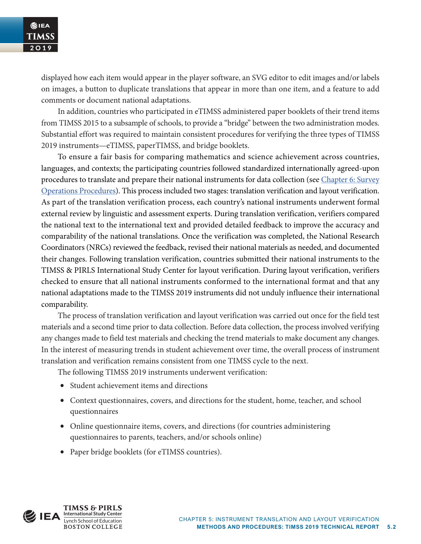displayed how each item would appear in the player software, an SVG editor to edit images and/or labels on images, a button to duplicate translations that appear in more than one item, and a feature to add comments or document national adaptations.

In addition, countries who participated in eTIMSS administered paper booklets of their trend items from TIMSS 2015 to a subsample of schools, to provide a "bridge" between the two administration modes. Substantial effort was required to maintain consistent procedures for verifying the three types of TIMSS 2019 instruments—eTIMSS, paperTIMSS, and bridge booklets.

To ensure a fair basis for comparing mathematics and science achievement across countries, languages, and contexts; the participating countries followed standardized internationally agreed-upon procedures to translate and prepare their national instruments for data collection (see [Chapter 6: Survey](https://timssandpirls.bc.edu/timss2019/methods/chapter-6.html)  [Operations Procedures](https://timssandpirls.bc.edu/timss2019/methods/chapter-6.html)). This process included two stages: translation verification and layout verification. As part of the translation verification process, each country's national instruments underwent formal external review by linguistic and assessment experts. During translation verification, verifiers compared the national text to the international text and provided detailed feedback to improve the accuracy and comparability of the national translations. Once the verification was completed, the National Research Coordinators (NRCs) reviewed the feedback, revised their national materials as needed, and documented their changes. Following translation verification, countries submitted their national instruments to the TIMSS & PIRLS International Study Center for layout verification. During layout verification, verifiers checked to ensure that all national instruments conformed to the international format and that any national adaptations made to the TIMSS 2019 instruments did not unduly influence their international comparability.

The process of translation verification and layout verification was carried out once for the field test materials and a second time prior to data collection. Before data collection, the process involved verifying any changes made to field test materials and checking the trend materials to make document any changes. In the interest of measuring trends in student achievement over time, the overall process of instrument translation and verification remains consistent from one TIMSS cycle to the next.

The following TIMSS 2019 instruments underwent verification:

- Student achievement items and directions
- Context questionnaires, covers, and directions for the student, home, teacher, and school questionnaires
- Online questionnaire items, covers, and directions (for countries administering questionnaires to parents, teachers, and/or schools online)
- Paper bridge booklets (for eTIMSS countries).

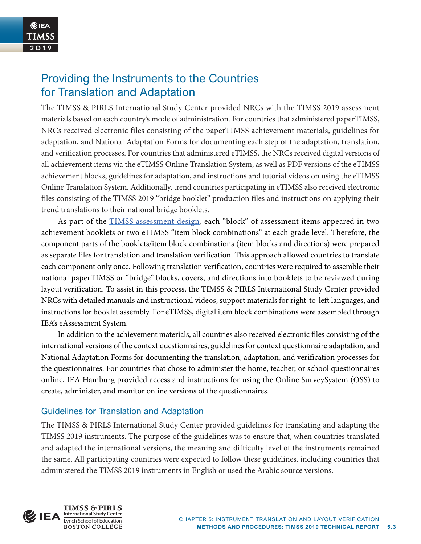# Providing the Instruments to the Countries for Translation and Adaptation

The TIMSS & PIRLS International Study Center provided NRCs with the TIMSS 2019 assessment materials based on each country's mode of administration. For countries that administered paperTIMSS, NRCs received electronic files consisting of the paperTIMSS achievement materials, guidelines for adaptation, and National Adaptation Forms for documenting each step of the adaptation, translation, and verification processes. For countries that administered eTIMSS, the NRCs received digital versions of all achievement items via the eTIMSS Online Translation System, as well as PDF versions of the eTIMSS achievement blocks, guidelines for adaptation, and instructions and tutorial videos on using the eTIMSS Online Translation System. Additionally, trend countries participating in eTIMSS also received electronic files consisting of the TIMSS 2019 "bridge booklet" production files and instructions on applying their trend translations to their national bridge booklets.

As part of the **TIMSS** assessment design, each "block" of assessment items appeared in two achievement booklets or two eTIMSS "item block combinations" at each grade level. Therefore, the component parts of the booklets/item block combinations (item blocks and directions) were prepared as separate files for translation and translation verification. This approach allowed countries to translate each component only once. Following translation verification, countries were required to assemble their national paperTIMSS or "bridge" blocks, covers, and directions into booklets to be reviewed during layout verification. To assist in this process, the TIMSS & PIRLS International Study Center provided NRCs with detailed manuals and instructional videos, support materials for right-to-left languages, and instructions for booklet assembly. For eTIMSS, digital item block combinations were assembled through IEA's eAssessment System.

In addition to the achievement materials, all countries also received electronic files consisting of the international versions of the context questionnaires, guidelines for context questionnaire adaptation, and National Adaptation Forms for documenting the translation, adaptation, and verification processes for the questionnaires. For countries that chose to administer the home, teacher, or school questionnaires online, IEA Hamburg provided access and instructions for using the Online SurveySystem (OSS) to create, administer, and monitor online versions of the questionnaires.

# Guidelines for Translation and Adaptation

The TIMSS & PIRLS International Study Center provided guidelines for translating and adapting the TIMSS 2019 instruments. The purpose of the guidelines was to ensure that, when countries translated and adapted the international versions, the meaning and difficulty level of the instruments remained the same. All participating countries were expected to follow these guidelines, including countries that administered the TIMSS 2019 instruments in English or used the Arabic source versions.

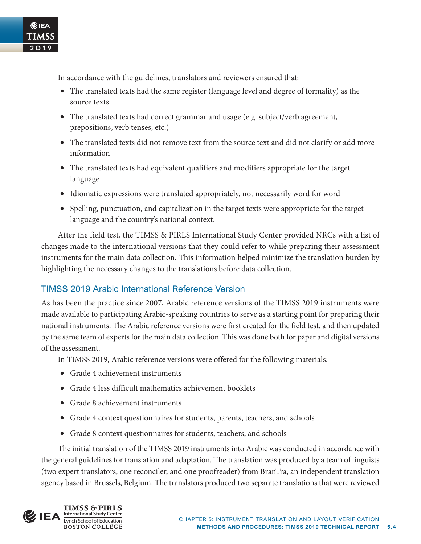In accordance with the guidelines, translators and reviewers ensured that:

- The translated texts had the same register (language level and degree of formality) as the source texts
- The translated texts had correct grammar and usage (e.g. subject/verb agreement, prepositions, verb tenses, etc.)
- The translated texts did not remove text from the source text and did not clarify or add more information
- The translated texts had equivalent qualifiers and modifiers appropriate for the target language
- Idiomatic expressions were translated appropriately, not necessarily word for word
- Spelling, punctuation, and capitalization in the target texts were appropriate for the target language and the country's national context.

After the field test, the TIMSS & PIRLS International Study Center provided NRCs with a list of changes made to the international versions that they could refer to while preparing their assessment instruments for the main data collection. This information helped minimize the translation burden by highlighting the necessary changes to the translations before data collection.

# TIMSS 2019 Arabic International Reference Version

As has been the practice since 2007, Arabic reference versions of the TIMSS 2019 instruments were made available to participating Arabic-speaking countries to serve as a starting point for preparing their national instruments. The Arabic reference versions were first created for the field test, and then updated by the same team of experts for the main data collection. This was done both for paper and digital versions of the assessment.

In TIMSS 2019, Arabic reference versions were offered for the following materials:

- Grade 4 achievement instruments
- Grade 4 less difficult mathematics achievement booklets
- Grade 8 achievement instruments
- Grade 4 context questionnaires for students, parents, teachers, and schools
- Grade 8 context questionnaires for students, teachers, and schools

The initial translation of the TIMSS 2019 instruments into Arabic was conducted in accordance with the general guidelines for translation and adaptation. The translation was produced by a team of linguists (two expert translators, one reconciler, and one proofreader) from BranTra, an independent translation agency based in Brussels, Belgium. The translators produced two separate translations that were reviewed



②IEA **TIMSS**  $2019$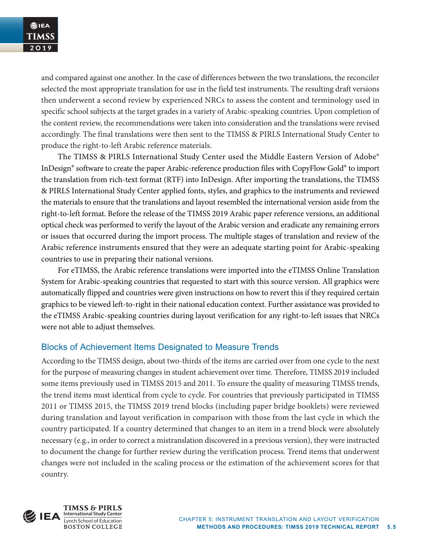and compared against one another. In the case of differences between the two translations, the reconciler selected the most appropriate translation for use in the field test instruments. The resulting draft versions then underwent a second review by experienced NRCs to assess the content and terminology used in specific school subjects at the target grades in a variety of Arabic-speaking countries. Upon completion of the content review, the recommendations were taken into consideration and the translations were revised accordingly. The final translations were then sent to the TIMSS & PIRLS International Study Center to produce the right-to-left Arabic reference materials.

The TIMSS & PIRLS International Study Center used the Middle Eastern Version of Adobe® InDesign® software to create the paper Arabic-reference production files with CopyFlow Gold® to import the translation from rich-text format (RTF) into InDesign. After importing the translations, the TIMSS & PIRLS International Study Center applied fonts, styles, and graphics to the instruments and reviewed the materials to ensure that the translations and layout resembled the international version aside from the right-to-left format. Before the release of the TIMSS 2019 Arabic paper reference versions, an additional optical check was performed to verify the layout of the Arabic version and eradicate any remaining errors or issues that occurred during the import process. The multiple stages of translation and review of the Arabic reference instruments ensured that they were an adequate starting point for Arabic-speaking countries to use in preparing their national versions.

For eTIMSS, the Arabic reference translations were imported into the eTIMSS Online Translation System for Arabic-speaking countries that requested to start with this source version. All graphics were automatically flipped and countries were given instructions on how to revert this if they required certain graphics to be viewed left-to-right in their national education context. Further assistance was provided to the eTIMSS Arabic-speaking countries during layout verification for any right-to-left issues that NRCs were not able to adjust themselves.

# Blocks of Achievement Items Designated to Measure Trends

According to the TIMSS design, about two-thirds of the items are carried over from one cycle to the next for the purpose of measuring changes in student achievement over time. Therefore, TIMSS 2019 included some items previously used in TIMSS 2015 and 2011. To ensure the quality of measuring TIMSS trends, the trend items must identical from cycle to cycle. For countries that previously participated in TIMSS 2011 or TIMSS 2015, the TIMSS 2019 trend blocks (including paper bridge booklets) were reviewed during translation and layout verification in comparison with those from the last cycle in which the country participated. If a country determined that changes to an item in a trend block were absolutely necessary (e.g., in order to correct a mistranslation discovered in a previous version), they were instructed to document the change for further review during the verification process. Trend items that underwent changes were not included in the scaling process or the estimation of the achievement scores for that country.

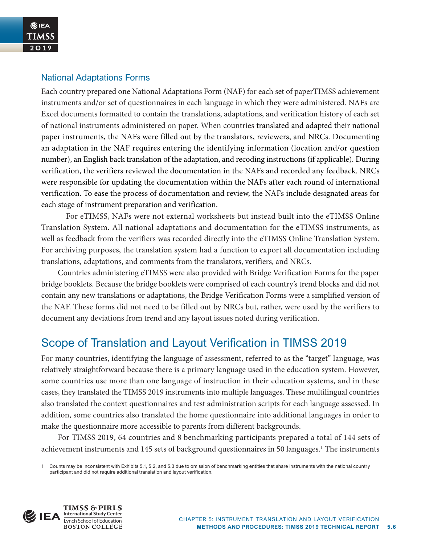### National Adaptations Forms

Each country prepared one National Adaptations Form (NAF) for each set of paperTIMSS achievement instruments and/or set of questionnaires in each language in which they were administered. NAFs are Excel documents formatted to contain the translations, adaptations, and verification history of each set of national instruments administered on paper. When countries translated and adapted their national paper instruments, the NAFs were filled out by the translators, reviewers, and NRCs. Documenting an adaptation in the NAF requires entering the identifying information (location and/or question number), an English back translation of the adaptation, and recoding instructions (if applicable). During verification, the verifiers reviewed the documentation in the NAFs and recorded any feedback. NRCs were responsible for updating the documentation within the NAFs after each round of international verification. To ease the process of documentation and review, the NAFs include designated areas for each stage of instrument preparation and verification.

For eTIMSS, NAFs were not external worksheets but instead built into the eTIMSS Online Translation System. All national adaptations and documentation for the eTIMSS instruments, as well as feedback from the verifiers was recorded directly into the eTIMSS Online Translation System. For archiving purposes, the translation system had a function to export all documentation including translations, adaptations, and comments from the translators, verifiers, and NRCs.

Countries administering eTIMSS were also provided with Bridge Verification Forms for the paper bridge booklets. Because the bridge booklets were comprised of each country's trend blocks and did not contain any new translations or adaptations, the Bridge Verification Forms were a simplified version of the NAF. These forms did not need to be filled out by NRCs but, rather, were used by the verifiers to document any deviations from trend and any layout issues noted during verification.

# Scope of Translation and Layout Verification in TIMSS 2019

For many countries, identifying the language of assessment, referred to as the "target" language, was relatively straightforward because there is a primary language used in the education system. However, some countries use more than one language of instruction in their education systems, and in these cases, they translated the TIMSS 2019 instruments into multiple languages. These multilingual countries also translated the context questionnaires and test administration scripts for each language assessed. In addition, some countries also translated the home questionnaire into additional languages in order to make the questionnaire more accessible to parents from different backgrounds.

For TIMSS 2019, 64 countries and 8 benchmarking participants prepared a total of 144 sets of achievement instruments and 145 sets of background questionnaires in 50 languages.<sup>1</sup> The instruments



<sup>1</sup> Counts may be inconsistent with Exhibits 5.1, 5.2, and 5.3 due to omission of benchmarking entities that share instruments with the national country participant and did not require additional translation and layout verification.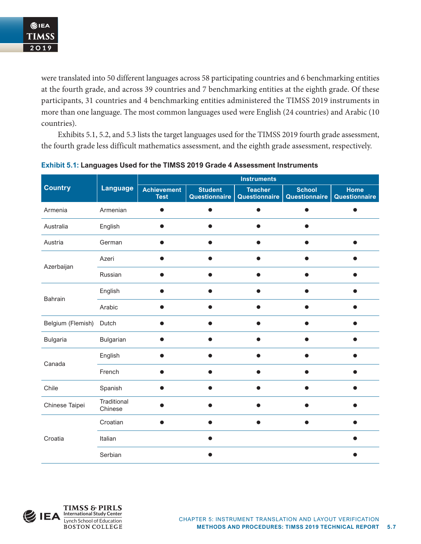were translated into 50 different languages across 58 participating countries and 6 benchmarking entities at the fourth grade, and across 39 countries and 7 benchmarking entities at the eighth grade. Of these participants, 31 countries and 4 benchmarking entities administered the TIMSS 2019 instruments in more than one language. The most common languages used were English (24 countries) and Arabic (10 countries).

Exhibits 5.1, 5.2, and 5.3 lists the target languages used for the TIMSS 2019 fourth grade assessment, the fourth grade less difficult mathematics assessment, and the eighth grade assessment, respectively.

|                   |                        | <b>Instruments</b>                |                                 |                                 |                                |                       |  |  |
|-------------------|------------------------|-----------------------------------|---------------------------------|---------------------------------|--------------------------------|-----------------------|--|--|
| <b>Country</b>    | <b>Language</b>        | <b>Achievement</b><br><b>Test</b> | <b>Student</b><br>Questionnaire | <b>Teacher</b><br>Questionnaire | <b>School</b><br>Questionnaire | Home<br>Questionnaire |  |  |
| Armenia           | Armenian               |                                   | ●                               | ●                               |                                |                       |  |  |
| Australia         | English                |                                   | ●                               |                                 |                                |                       |  |  |
| Austria           | German                 |                                   |                                 |                                 |                                |                       |  |  |
|                   | Azeri                  |                                   |                                 |                                 |                                |                       |  |  |
| Azerbaijan        | Russian                |                                   |                                 |                                 |                                |                       |  |  |
| Bahrain           | English                |                                   |                                 |                                 |                                |                       |  |  |
|                   | Arabic                 |                                   |                                 |                                 |                                |                       |  |  |
| Belgium (Flemish) | Dutch                  |                                   |                                 |                                 |                                |                       |  |  |
| <b>Bulgaria</b>   | Bulgarian              |                                   | O                               |                                 |                                |                       |  |  |
| Canada            | English                |                                   |                                 |                                 |                                |                       |  |  |
|                   | French                 |                                   |                                 |                                 |                                |                       |  |  |
| Chile             | Spanish                |                                   |                                 |                                 |                                |                       |  |  |
| Chinese Taipei    | Traditional<br>Chinese |                                   |                                 |                                 |                                |                       |  |  |
|                   | Croatian               |                                   |                                 |                                 |                                |                       |  |  |
| Croatia           | Italian                |                                   |                                 |                                 |                                |                       |  |  |
|                   | Serbian                |                                   |                                 |                                 |                                |                       |  |  |

### **Exhibit 5.1: Languages Used for the TIMSS 2019 Grade 4 Assessment Instruments**

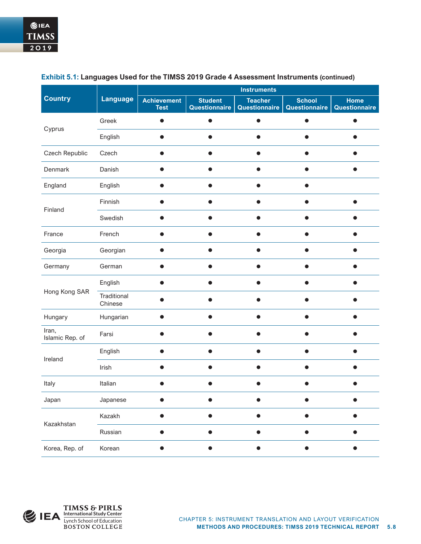|                          |                        | <b>Instruments</b>                |                                 |                                 |                                |                              |  |  |
|--------------------------|------------------------|-----------------------------------|---------------------------------|---------------------------------|--------------------------------|------------------------------|--|--|
| <b>Country</b>           | <b>Language</b>        | <b>Achievement</b><br><b>Test</b> | <b>Student</b><br>Questionnaire | <b>Teacher</b><br>Questionnaire | <b>School</b><br>Questionnaire | <b>Home</b><br>Questionnaire |  |  |
|                          | Greek                  |                                   | $\bullet$                       |                                 | $\bullet$                      |                              |  |  |
| Cyprus                   | English                |                                   |                                 |                                 |                                |                              |  |  |
| Czech Republic           | Czech                  |                                   | ۰                               |                                 |                                | Ð                            |  |  |
| Denmark                  | Danish                 |                                   | $\bullet$                       |                                 |                                |                              |  |  |
| England                  | English                |                                   | e                               |                                 |                                |                              |  |  |
| Finland                  | Finnish                |                                   |                                 |                                 |                                |                              |  |  |
|                          | Swedish<br>French      |                                   |                                 |                                 |                                |                              |  |  |
| France                   |                        |                                   |                                 |                                 |                                |                              |  |  |
| Georgia                  | Georgian               |                                   |                                 |                                 |                                |                              |  |  |
| Germany                  | German                 |                                   |                                 |                                 |                                |                              |  |  |
|                          | English                |                                   |                                 |                                 |                                |                              |  |  |
| Hong Kong SAR            | Traditional<br>Chinese |                                   |                                 |                                 |                                |                              |  |  |
| Hungary                  | Hungarian              |                                   |                                 |                                 |                                |                              |  |  |
| Iran,<br>Islamic Rep. of | Farsi                  |                                   |                                 |                                 |                                |                              |  |  |
| Ireland                  | English                |                                   |                                 |                                 |                                |                              |  |  |
|                          | Irish                  |                                   |                                 |                                 |                                |                              |  |  |
| Italy                    | Italian                |                                   |                                 |                                 |                                |                              |  |  |
| Japan                    | Japanese               |                                   |                                 |                                 |                                |                              |  |  |
| Kazakhstan               | Kazakh                 |                                   | ●                               |                                 |                                | ۰                            |  |  |
|                          | Russian                |                                   |                                 |                                 |                                |                              |  |  |
| Korea, Rep. of           | Korean                 |                                   |                                 |                                 |                                |                              |  |  |

#### **Exhibit 5.1: Languages Used for the TIMSS 2019 Grade 4 Assessment Instruments (continued)**

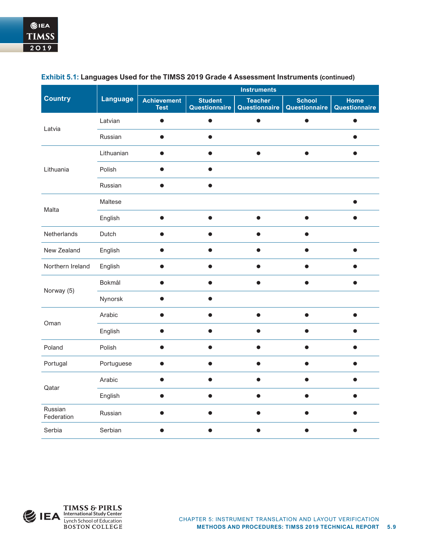|                       |                 | <b>Instruments</b>                |                                 |                                 |                                |                       |  |  |  |
|-----------------------|-----------------|-----------------------------------|---------------------------------|---------------------------------|--------------------------------|-----------------------|--|--|--|
| <b>Country</b>        | <b>Language</b> | <b>Achievement</b><br><b>Test</b> | <b>Student</b><br>Questionnaire | <b>Teacher</b><br>Questionnaire | <b>School</b><br>Questionnaire | Home<br>Questionnaire |  |  |  |
| Latvia                | Latvian         |                                   | ●                               |                                 |                                |                       |  |  |  |
|                       | Russian         | $\bullet$<br>●<br>$\bullet$<br>O  |                                 | ●                               |                                |                       |  |  |  |
|                       | Lithuanian      |                                   |                                 |                                 |                                |                       |  |  |  |
| Lithuania             | Polish          |                                   |                                 |                                 |                                |                       |  |  |  |
|                       | Russian         |                                   | Δ<br>●<br>●                     |                                 |                                |                       |  |  |  |
| Malta                 | Maltese         |                                   |                                 |                                 |                                |                       |  |  |  |
|                       | English         |                                   |                                 |                                 |                                |                       |  |  |  |
| Netherlands           | Dutch           |                                   |                                 |                                 |                                |                       |  |  |  |
| New Zealand           | English         |                                   |                                 |                                 |                                |                       |  |  |  |
| Northern Ireland      | English         |                                   |                                 |                                 |                                |                       |  |  |  |
| Norway (5)            | Bokmål          |                                   |                                 |                                 |                                |                       |  |  |  |
|                       | Nynorsk         |                                   |                                 |                                 |                                |                       |  |  |  |
| Oman                  | Arabic          |                                   |                                 |                                 |                                |                       |  |  |  |
|                       | English         |                                   |                                 |                                 |                                |                       |  |  |  |
| Poland                | Polish          |                                   |                                 |                                 |                                |                       |  |  |  |
| Portugal              | Portuguese      |                                   |                                 |                                 |                                |                       |  |  |  |
| Qatar                 | Arabic          |                                   |                                 |                                 |                                |                       |  |  |  |
|                       | English         |                                   |                                 |                                 |                                |                       |  |  |  |
| Russian<br>Federation | Russian         |                                   |                                 |                                 |                                |                       |  |  |  |
| Serbia                | Serbian         |                                   |                                 |                                 |                                |                       |  |  |  |

#### **Exhibit 5.1: Languages Used for the TIMSS 2019 Grade 4 Assessment Instruments (continued)**

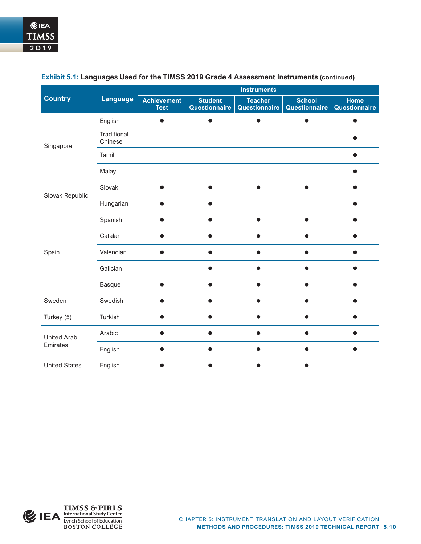|                      | <b>Language</b>        | <b>Instruments</b>                |                                 |                                 |                                |                              |  |  |  |
|----------------------|------------------------|-----------------------------------|---------------------------------|---------------------------------|--------------------------------|------------------------------|--|--|--|
| <b>Country</b>       |                        | <b>Achievement</b><br><b>Test</b> | <b>Student</b><br>Questionnaire | <b>Teacher</b><br>Questionnaire | <b>School</b><br>Questionnaire | <b>Home</b><br>Questionnaire |  |  |  |
|                      | English                |                                   |                                 |                                 |                                |                              |  |  |  |
| Singapore            | Traditional<br>Chinese |                                   |                                 |                                 |                                |                              |  |  |  |
|                      | Tamil                  |                                   |                                 |                                 |                                |                              |  |  |  |
| Slovak Republic      | Malay                  |                                   |                                 |                                 |                                |                              |  |  |  |
|                      | Slovak                 |                                   |                                 |                                 |                                |                              |  |  |  |
|                      | Hungarian              |                                   |                                 |                                 |                                |                              |  |  |  |
|                      | Spanish                |                                   |                                 |                                 | $\bullet$                      |                              |  |  |  |
|                      | Catalan                |                                   | ●                               |                                 |                                | D                            |  |  |  |
| Spain                | Valencian              |                                   |                                 |                                 |                                |                              |  |  |  |
|                      | Galician               |                                   |                                 |                                 |                                |                              |  |  |  |
|                      | <b>Basque</b>          |                                   |                                 |                                 |                                |                              |  |  |  |
| Sweden               | Swedish                |                                   |                                 |                                 |                                |                              |  |  |  |
| Turkey (5)           | Turkish                |                                   |                                 |                                 |                                |                              |  |  |  |
| <b>United Arab</b>   | Arabic                 |                                   |                                 |                                 |                                |                              |  |  |  |
| Emirates             | English                |                                   |                                 |                                 |                                |                              |  |  |  |
| <b>United States</b> | English                |                                   |                                 |                                 |                                |                              |  |  |  |

#### **Exhibit 5.1: Languages Used for the TIMSS 2019 Grade 4 Assessment Instruments (continued)**

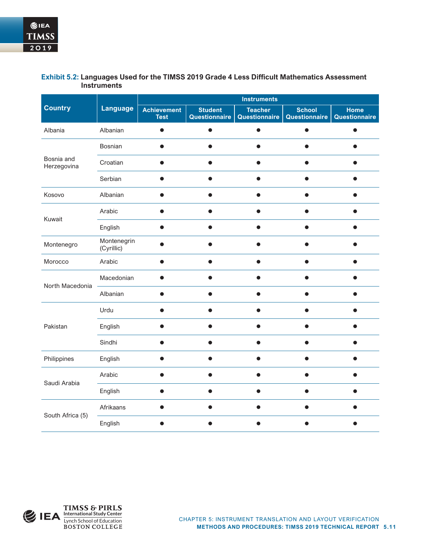#### **Country Language Instruments Achievement Test Student Questionnaire Teacher Questionnaire School Questionnaire Home Questionnaire** Albania Albanian • • • • • Bosnia and Herzegovina Bosnian • • • • • Croatian • • • • • Serbian • • • • • Kosovo Albanian • • • • • Kuwait Arabic • • • • • English • • • • • Montenegro Montenegrin<br>(Cyrillic) (Cyrillic) • • • • • Morocco Arabic • • • • • North Macedonia Macedonian • • • • • Albanian • • • • • Pakistan Urdu • • • • • English • • • • • Sindhi • • • • • Philippines English ● ● ● ● ● ● Saudi Arabia Arabic • • • • • English • • • • • South Africa (5) Afrikaans • • • • • English • • • • •

#### **Exhibit 5.2: Languages Used for the TIMSS 2019 Grade 4 Less Difficult Mathematics Assessment Instruments**

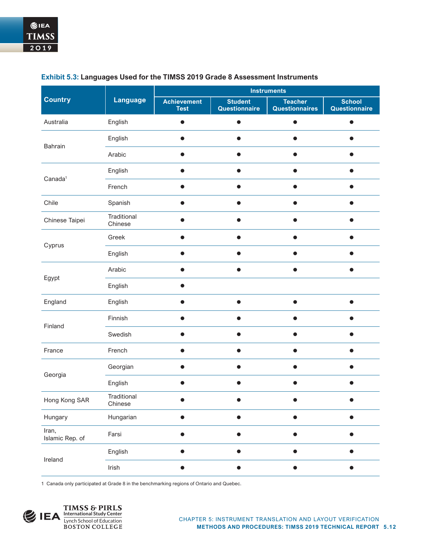|                          |                        | <b>Instruments</b>                |                                                                                 |                                         |                                |  |  |
|--------------------------|------------------------|-----------------------------------|---------------------------------------------------------------------------------|-----------------------------------------|--------------------------------|--|--|
| <b>Country</b>           | <b>Language</b>        | <b>Achievement</b><br><b>Test</b> | <b>Student</b><br>Questionnaire                                                 | <b>Teacher</b><br><b>Questionnaires</b> | <b>School</b><br>Questionnaire |  |  |
| Australia                | English                | $\bullet$                         | $\bullet$                                                                       |                                         |                                |  |  |
| Bahrain                  | English                | 0                                 |                                                                                 |                                         |                                |  |  |
|                          | Arabic                 | ●                                 |                                                                                 |                                         |                                |  |  |
|                          | English                | ●                                 |                                                                                 |                                         |                                |  |  |
| Canada <sup>1</sup>      | French                 | O                                 |                                                                                 |                                         |                                |  |  |
| Chile                    | Spanish                | - 11                              |                                                                                 |                                         |                                |  |  |
| Chinese Taipei           | Traditional<br>Chinese |                                   |                                                                                 |                                         |                                |  |  |
|                          | Greek                  | $\bullet$                         |                                                                                 |                                         |                                |  |  |
| Cyprus<br>Egypt          | English                |                                   |                                                                                 |                                         |                                |  |  |
|                          | Arabic                 |                                   |                                                                                 |                                         |                                |  |  |
|                          | English                |                                   |                                                                                 |                                         |                                |  |  |
| England                  | English                |                                   |                                                                                 |                                         |                                |  |  |
| Finland                  | Finnish                |                                   |                                                                                 |                                         |                                |  |  |
|                          | Swedish                |                                   | $\bullet$<br>$\bullet$<br>$\bullet$<br>$\bullet$<br>$\bullet$<br>$\bullet$<br>n |                                         |                                |  |  |
| France                   | French                 |                                   |                                                                                 |                                         |                                |  |  |
| Georgia                  | Georgian               |                                   |                                                                                 |                                         |                                |  |  |
|                          | English                |                                   |                                                                                 |                                         |                                |  |  |
| Hong Kong SAR            | Traditional<br>Chinese |                                   |                                                                                 |                                         |                                |  |  |
| Hungary                  | Hungarian              |                                   |                                                                                 |                                         |                                |  |  |
| Iran,<br>Islamic Rep. of | Farsi                  |                                   |                                                                                 |                                         |                                |  |  |
| Ireland                  | English                |                                   |                                                                                 |                                         |                                |  |  |
|                          | Irish                  |                                   |                                                                                 |                                         |                                |  |  |

#### **Exhibit 5.3: Languages Used for the TIMSS 2019 Grade 8 Assessment Instruments**

1 Canada only participated at Grade 8 in the benchmarking regions of Ontario and Quebec.

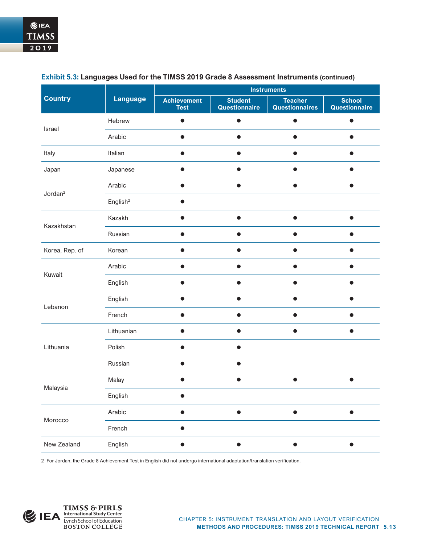|                     |                      | <b>Instruments</b>                |                                 |                                         |                                |  |  |
|---------------------|----------------------|-----------------------------------|---------------------------------|-----------------------------------------|--------------------------------|--|--|
| <b>Country</b>      | <b>Language</b>      | <b>Achievement</b><br><b>Test</b> | <b>Student</b><br>Questionnaire | <b>Teacher</b><br><b>Questionnaires</b> | <b>School</b><br>Questionnaire |  |  |
| Israel              | Hebrew               | $\bullet$                         | $\bullet$                       | ●                                       |                                |  |  |
|                     | Arabic               | 0                                 |                                 |                                         | D                              |  |  |
| Italy               | Italian              | $\bullet$                         |                                 |                                         |                                |  |  |
| Japan               | Japanese             | ●                                 | $\bullet$                       |                                         | ●                              |  |  |
| Jordan <sup>2</sup> | Arabic               | $\bullet$                         | $\bullet$                       | 0                                       | $\bullet$                      |  |  |
|                     | English <sup>2</sup> | $\bullet$                         |                                 |                                         |                                |  |  |
|                     | Kazakh               | ٠                                 |                                 |                                         |                                |  |  |
| Kazakhstan          | Russian              |                                   |                                 |                                         |                                |  |  |
| Korea, Rep. of      | Korean               |                                   |                                 |                                         |                                |  |  |
| Kuwait              | Arabic               |                                   |                                 |                                         |                                |  |  |
|                     | English              |                                   |                                 |                                         |                                |  |  |
| Lebanon             | English              |                                   |                                 |                                         |                                |  |  |
|                     | French               |                                   |                                 | ●<br>n<br>$\bullet$                     |                                |  |  |
|                     | Lithuanian           | D                                 | $\bullet$                       |                                         |                                |  |  |
| Lithuania           | Polish               |                                   |                                 |                                         |                                |  |  |
|                     | Russian              |                                   |                                 |                                         |                                |  |  |
|                     | Malay                |                                   | 0                               |                                         |                                |  |  |
| Malaysia            | English              | 0                                 |                                 |                                         |                                |  |  |
|                     | Arabic               | $\bullet$                         | $\bullet$                       |                                         |                                |  |  |
| Morocco             | French               | $\bullet$                         |                                 |                                         |                                |  |  |
| New Zealand         | English              |                                   |                                 |                                         |                                |  |  |

#### **Exhibit 5.3: Languages Used for the TIMSS 2019 Grade 8 Assessment Instruments (continued)**

2 For Jordan, the Grade 8 Achievement Test in English did not undergo international adaptation/translation verification.

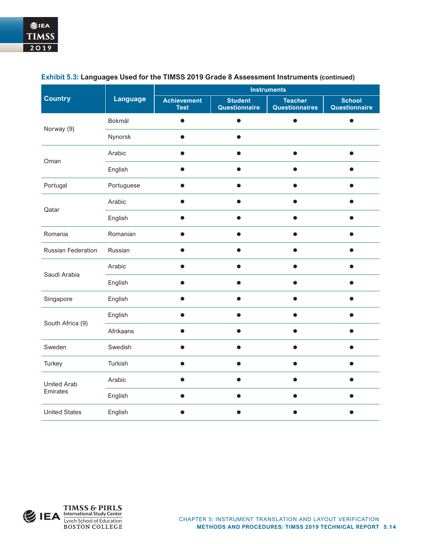|                           |                 | <b>Instruments</b>                |                                 |                                  |                                |  |  |
|---------------------------|-----------------|-----------------------------------|---------------------------------|----------------------------------|--------------------------------|--|--|
| <b>Country</b>            | <b>Language</b> | <b>Achievement</b><br><b>Test</b> | <b>Student</b><br>Questionnaire | <b>Teacher</b><br>Questionnaires | <b>School</b><br>Questionnaire |  |  |
| Norway (9)                | Bokmål          |                                   |                                 |                                  |                                |  |  |
|                           | Nynorsk         |                                   |                                 |                                  |                                |  |  |
| Oman                      | Arabic          |                                   |                                 |                                  |                                |  |  |
|                           | English         |                                   |                                 |                                  |                                |  |  |
| Portugal                  | Portuguese      |                                   |                                 |                                  |                                |  |  |
| Qatar                     | Arabic          |                                   |                                 |                                  |                                |  |  |
|                           | English         |                                   |                                 |                                  |                                |  |  |
| Romania                   | Romanian        |                                   |                                 |                                  |                                |  |  |
| <b>Russian Federation</b> | Russian         |                                   |                                 |                                  |                                |  |  |
| Saudi Arabia              | Arabic          |                                   |                                 |                                  |                                |  |  |
|                           | English         |                                   |                                 |                                  |                                |  |  |
| Singapore                 | English         |                                   |                                 |                                  |                                |  |  |
| South Africa (9)          | English         |                                   |                                 |                                  |                                |  |  |
|                           | Afrikaans       |                                   |                                 |                                  |                                |  |  |
| Sweden                    | Swedish         |                                   |                                 |                                  |                                |  |  |
| Turkey                    | Turkish         |                                   |                                 |                                  |                                |  |  |
| <b>United Arab</b>        | Arabic          |                                   |                                 |                                  |                                |  |  |
| Emirates                  | English         |                                   |                                 |                                  |                                |  |  |
| <b>United States</b>      | English         |                                   |                                 |                                  |                                |  |  |

#### **Exhibit 5.3: Languages Used for the TIMSS 2019 Grade 8 Assessment Instruments (continued)**

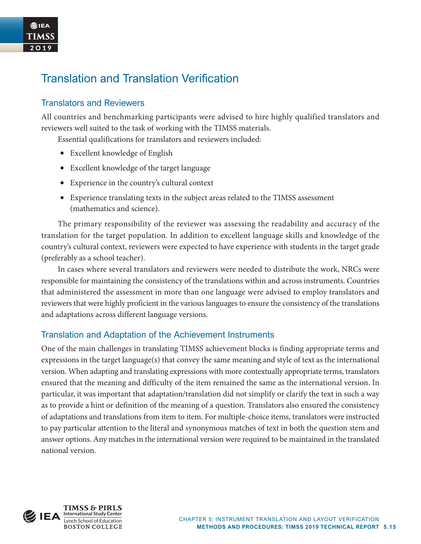# Translation and Translation Verification

### Translators and Reviewers

②IEA **TIMSS**  $2019$ 

> All countries and benchmarking participants were advised to hire highly qualified translators and reviewers well suited to the task of working with the TIMSS materials.

Essential qualifications for translators and reviewers included:

- Excellent knowledge of English
- Excellent knowledge of the target language
- Experience in the country's cultural context
- Experience translating texts in the subject areas related to the TIMSS assessment (mathematics and science).

The primary responsibility of the reviewer was assessing the readability and accuracy of the translation for the target population. In addition to excellent language skills and knowledge of the country's cultural context, reviewers were expected to have experience with students in the target grade (preferably as a school teacher).

In cases where several translators and reviewers were needed to distribute the work, NRCs were responsible for maintaining the consistency of the translations within and across instruments. Countries that administered the assessment in more than one language were advised to employ translators and reviewers that were highly proficient in the various languages to ensure the consistency of the translations and adaptations across different language versions.

# Translation and Adaptation of the Achievement Instruments

One of the main challenges in translating TIMSS achievement blocks is finding appropriate terms and expressions in the target language(s) that convey the same meaning and style of text as the international version. When adapting and translating expressions with more contextually appropriate terms, translators ensured that the meaning and difficulty of the item remained the same as the international version. In particular, it was important that adaptation/translation did not simplify or clarify the text in such a way as to provide a hint or definition of the meaning of a question. Translators also ensured the consistency of adaptations and translations from item to item. For multiple-choice items, translators were instructed to pay particular attention to the literal and synonymous matches of text in both the question stem and answer options. Any matches in the international version were required to be maintained in the translated national version.

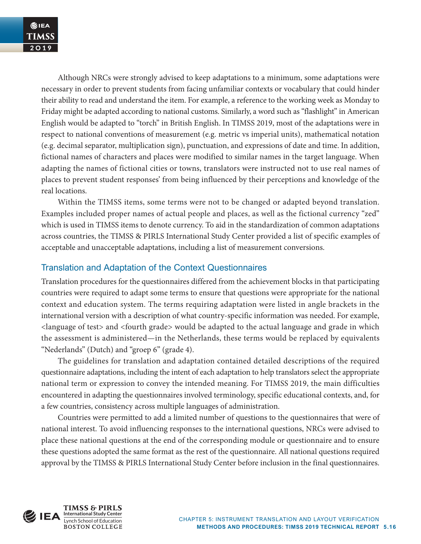Although NRCs were strongly advised to keep adaptations to a minimum, some adaptations were necessary in order to prevent students from facing unfamiliar contexts or vocabulary that could hinder their ability to read and understand the item. For example, a reference to the working week as Monday to Friday might be adapted according to national customs. Similarly, a word such as "flashlight" in American English would be adapted to "torch" in British English. In TIMSS 2019, most of the adaptations were in respect to national conventions of measurement (e.g. metric vs imperial units), mathematical notation (e.g. decimal separator, multiplication sign), punctuation, and expressions of date and time. In addition, fictional names of characters and places were modified to similar names in the target language. When adapting the names of fictional cities or towns, translators were instructed not to use real names of places to prevent student responses' from being influenced by their perceptions and knowledge of the real locations.

Within the TIMSS items, some terms were not to be changed or adapted beyond translation. Examples included proper names of actual people and places, as well as the fictional currency "zed" which is used in TIMSS items to denote currency. To aid in the standardization of common adaptations across countries, the TIMSS & PIRLS International Study Center provided a list of specific examples of acceptable and unacceptable adaptations, including a list of measurement conversions.

# Translation and Adaptation of the Context Questionnaires

Translation procedures for the questionnaires differed from the achievement blocks in that participating countries were required to adapt some terms to ensure that questions were appropriate for the national context and education system. The terms requiring adaptation were listed in angle brackets in the international version with a description of what country-specific information was needed. For example, <language of test> and <fourth grade> would be adapted to the actual language and grade in which the assessment is administered—in the Netherlands, these terms would be replaced by equivalents "Nederlands" (Dutch) and "groep 6" (grade 4).

The guidelines for translation and adaptation contained detailed descriptions of the required questionnaire adaptations, including the intent of each adaptation to help translators select the appropriate national term or expression to convey the intended meaning. For TIMSS 2019, the main difficulties encountered in adapting the questionnaires involved terminology, specific educational contexts, and, for a few countries, consistency across multiple languages of administration.

Countries were permitted to add a limited number of questions to the questionnaires that were of national interest. To avoid influencing responses to the international questions, NRCs were advised to place these national questions at the end of the corresponding module or questionnaire and to ensure these questions adopted the same format as the rest of the questionnaire. All national questions required approval by the TIMSS & PIRLS International Study Center before inclusion in the final questionnaires.

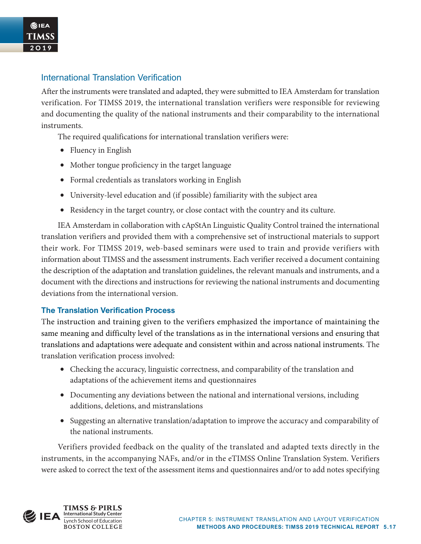### International Translation Verification

After the instruments were translated and adapted, they were submitted to IEA Amsterdam for translation verification. For TIMSS 2019, the international translation verifiers were responsible for reviewing and documenting the quality of the national instruments and their comparability to the international instruments.

The required qualifications for international translation verifiers were:

- Fluency in English
- Mother tongue proficiency in the target language
- Formal credentials as translators working in English
- University-level education and (if possible) familiarity with the subject area
- Residency in the target country, or close contact with the country and its culture.

IEA Amsterdam in collaboration with cApStAn Linguistic Quality Control trained the international translation verifiers and provided them with a comprehensive set of instructional materials to support their work. For TIMSS 2019, web-based seminars were used to train and provide verifiers with information about TIMSS and the assessment instruments. Each verifier received a document containing the description of the adaptation and translation guidelines, the relevant manuals and instruments, and a document with the directions and instructions for reviewing the national instruments and documenting deviations from the international version.

#### **The Translation Verification Process**

The instruction and training given to the verifiers emphasized the importance of maintaining the same meaning and difficulty level of the translations as in the international versions and ensuring that translations and adaptations were adequate and consistent within and across national instruments. The translation verification process involved:

- Checking the accuracy, linguistic correctness, and comparability of the translation and adaptations of the achievement items and questionnaires
- Documenting any deviations between the national and international versions, including additions, deletions, and mistranslations
- Suggesting an alternative translation/adaptation to improve the accuracy and comparability of the national instruments.

Verifiers provided feedback on the quality of the translated and adapted texts directly in the instruments, in the accompanying NAFs, and/or in the eTIMSS Online Translation System. Verifiers were asked to correct the text of the assessment items and questionnaires and/or to add notes specifying

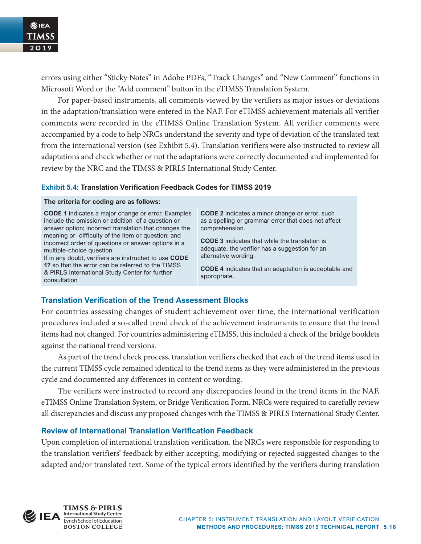errors using either "Sticky Notes" in Adobe PDFs, "Track Changes" and "New Comment" functions in Microsoft Word or the "Add comment" button in the eTIMSS Translation System.

For paper-based instruments, all comments viewed by the verifiers as major issues or deviations in the adaptation/translation were entered in the NAF. For eTIMSS achievement materials all verifier comments were recorded in the eTIMSS Online Translation System. All verifier comments were accompanied by a code to help NRCs understand the severity and type of deviation of the translated text from the international version (see Exhibit 5.4). Translation verifiers were also instructed to review all adaptations and check whether or not the adaptations were correctly documented and implemented for review by the NRC and the TIMSS & PIRLS International Study Center.

#### **Exhibit 5.4: Translation Verification Feedback Codes for TIMSS 2019**

#### **The criteria for coding are as follows:**

**CODE 1** indicates a major change or error. Examples include the omission or addition of a question or answer option; incorrect translation that changes the meaning or difficulty of the item or question; and incorrect order of questions or answer options in a multiple-choice question.

If in any doubt, verifiers are instructed to use **CODE 1?** so that the error can be referred to the TIMSS & PIRLS International Study Center for further consultation

**CODE 2** indicates a minor change or error, such as a spelling or grammar error that does not affect comprehension.

**CODE 3** indicates that while the translation is adequate, the verifier has a suggestion for an alternative wording.

**CODE 4** indicates that an adaptation is acceptable and appropriate.

#### **Translation Verification of the Trend Assessment Blocks**

For countries assessing changes of student achievement over time, the international verification procedures included a so-called trend check of the achievement instruments to ensure that the trend items had not changed. For countries administering eTIMSS, this included a check of the bridge booklets against the national trend versions.

As part of the trend check process, translation verifiers checked that each of the trend items used in the current TIMSS cycle remained identical to the trend items as they were administered in the previous cycle and documented any differences in content or wording.

The verifiers were instructed to record any discrepancies found in the trend items in the NAF, eTIMSS Online Translation System, or Bridge Verification Form. NRCs were required to carefully review all discrepancies and discuss any proposed changes with the TIMSS & PIRLS International Study Center.

#### **Review of International Translation Verification Feedback**

Upon completion of international translation verification, the NRCs were responsible for responding to the translation verifiers' feedback by either accepting, modifying or rejected suggested changes to the adapted and/or translated text. Some of the typical errors identified by the verifiers during translation

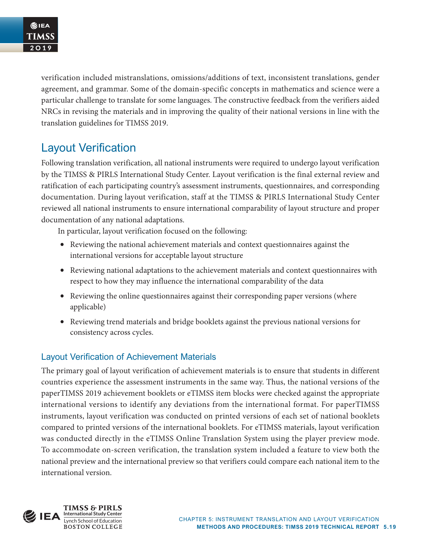verification included mistranslations, omissions/additions of text, inconsistent translations, gender agreement, and grammar. Some of the domain-specific concepts in mathematics and science were a particular challenge to translate for some languages. The constructive feedback from the verifiers aided NRCs in revising the materials and in improving the quality of their national versions in line with the translation guidelines for TIMSS 2019.

# Layout Verification

Following translation verification, all national instruments were required to undergo layout verification by the TIMSS & PIRLS International Study Center. Layout verification is the final external review and ratification of each participating country's assessment instruments, questionnaires, and corresponding documentation. During layout verification, staff at the TIMSS & PIRLS International Study Center reviewed all national instruments to ensure international comparability of layout structure and proper documentation of any national adaptations.

In particular, layout verification focused on the following:

- Reviewing the national achievement materials and context questionnaires against the international versions for acceptable layout structure
- Reviewing national adaptations to the achievement materials and context questionnaires with respect to how they may influence the international comparability of the data
- Reviewing the online questionnaires against their corresponding paper versions (where applicable)
- Reviewing trend materials and bridge booklets against the previous national versions for consistency across cycles.

# Layout Verification of Achievement Materials

The primary goal of layout verification of achievement materials is to ensure that students in different countries experience the assessment instruments in the same way. Thus, the national versions of the paperTIMSS 2019 achievement booklets or eTIMSS item blocks were checked against the appropriate international versions to identify any deviations from the international format. For paperTIMSS instruments, layout verification was conducted on printed versions of each set of national booklets compared to printed versions of the international booklets. For eTIMSS materials, layout verification was conducted directly in the eTIMSS Online Translation System using the player preview mode. To accommodate on-screen verification, the translation system included a feature to view both the national preview and the international preview so that verifiers could compare each national item to the international version.

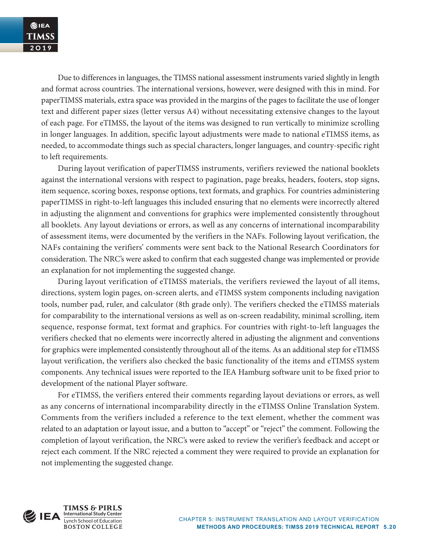Due to differences in languages, the TIMSS national assessment instruments varied slightly in length and format across countries. The international versions, however, were designed with this in mind. For paperTIMSS materials, extra space was provided in the margins of the pages to facilitate the use of longer text and different paper sizes (letter versus A4) without necessitating extensive changes to the layout of each page. For eTIMSS, the layout of the items was designed to run vertically to minimize scrolling in longer languages. In addition, specific layout adjustments were made to national eTIMSS items, as needed, to accommodate things such as special characters, longer languages, and country-specific right to left requirements.

During layout verification of paperTIMSS instruments, verifiers reviewed the national booklets against the international versions with respect to pagination, page breaks, headers, footers, stop signs, item sequence, scoring boxes, response options, text formats, and graphics. For countries administering paperTIMSS in right-to-left languages this included ensuring that no elements were incorrectly altered in adjusting the alignment and conventions for graphics were implemented consistently throughout all booklets. Any layout deviations or errors, as well as any concerns of international incomparability of assessment items, were documented by the verifiers in the NAFs. Following layout verification, the NAFs containing the verifiers' comments were sent back to the National Research Coordinators for consideration. The NRC's were asked to confirm that each suggested change was implemented or provide an explanation for not implementing the suggested change.

During layout verification of eTIMSS materials, the verifiers reviewed the layout of all items, directions, system login pages, on-screen alerts, and eTIMSS system components including navigation tools, number pad, ruler, and calculator (8th grade only). The verifiers checked the eTIMSS materials for comparability to the international versions as well as on-screen readability, minimal scrolling, item sequence, response format, text format and graphics. For countries with right-to-left languages the verifiers checked that no elements were incorrectly altered in adjusting the alignment and conventions for graphics were implemented consistently throughout all of the items. As an additional step for eTIMSS layout verification, the verifiers also checked the basic functionality of the items and eTIMSS system components. Any technical issues were reported to the IEA Hamburg software unit to be fixed prior to development of the national Player software.

For eTIMSS, the verifiers entered their comments regarding layout deviations or errors, as well as any concerns of international incomparability directly in the eTIMSS Online Translation System. Comments from the verifiers included a reference to the text element, whether the comment was related to an adaptation or layout issue, and a button to "accept" or "reject" the comment. Following the completion of layout verification, the NRC's were asked to review the verifier's feedback and accept or reject each comment. If the NRC rejected a comment they were required to provide an explanation for not implementing the suggested change.



**TIMSS & PIRLS** Lynch School of Education<br>BOSTON COLLEGE **International Study Center**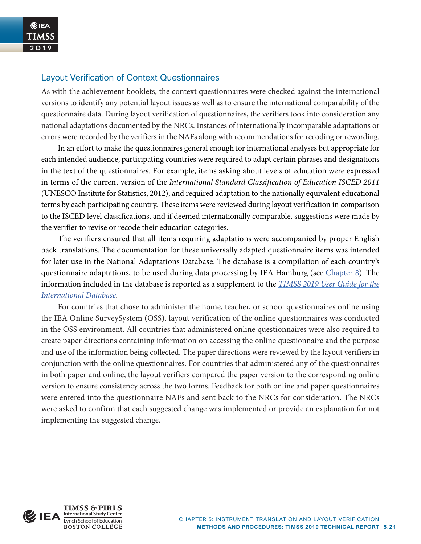#### Layout Verification of Context Questionnaires

As with the achievement booklets, the context questionnaires were checked against the international versions to identify any potential layout issues as well as to ensure the international comparability of the questionnaire data. During layout verification of questionnaires, the verifiers took into consideration any national adaptations documented by the NRCs. Instances of internationally incomparable adaptations or errors were recorded by the verifiers in the NAFs along with recommendations for recoding or rewording.

In an effort to make the questionnaires general enough for international analyses but appropriate for each intended audience, participating countries were required to adapt certain phrases and designations in the text of the questionnaires. For example, items asking about levels of education were expressed in terms of the current version of the *International Standard Classification of Education ISCED 2011* (UNESCO Institute for Statistics, 2012), and required adaptation to the nationally equivalent educational terms by each participating country. These items were reviewed during layout verification in comparison to the ISCED level classifications, and if deemed internationally comparable, suggestions were made by the verifier to revise or recode their education categories.

The verifiers ensured that all items requiring adaptations were accompanied by proper English back translations. The documentation for these universally adapted questionnaire items was intended for later use in the National Adaptations Database. The database is a compilation of each country's questionnaire adaptations, to be used during data processing by IEA Hamburg (see [Chapter 8\)](https://timssandpirls.bc.edu/timss2019/methods/chapter-8.html). The information included in the database is reported as a supplement to the *TIMSS 2019 [User Guide for the](http://timssandpirls.bc.edu/timss2019/international-database/)  [International Database](http://timssandpirls.bc.edu/timss2019/international-database/)*.

For countries that chose to administer the home, teacher, or school questionnaires online using the IEA Online SurveySystem (OSS), layout verification of the online questionnaires was conducted in the OSS environment. All countries that administered online questionnaires were also required to create paper directions containing information on accessing the online questionnaire and the purpose and use of the information being collected. The paper directions were reviewed by the layout verifiers in conjunction with the online questionnaires. For countries that administered any of the questionnaires in both paper and online, the layout verifiers compared the paper version to the corresponding online version to ensure consistency across the two forms. Feedback for both online and paper questionnaires were entered into the questionnaire NAFs and sent back to the NRCs for consideration. The NRCs were asked to confirm that each suggested change was implemented or provide an explanation for not implementing the suggested change.

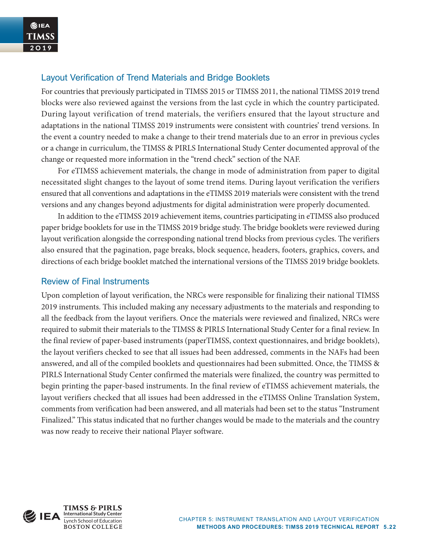### Layout Verification of Trend Materials and Bridge Booklets

For countries that previously participated in TIMSS 2015 or TIMSS 2011, the national TIMSS 2019 trend blocks were also reviewed against the versions from the last cycle in which the country participated. During layout verification of trend materials, the verifiers ensured that the layout structure and adaptations in the national TIMSS 2019 instruments were consistent with countries' trend versions. In the event a country needed to make a change to their trend materials due to an error in previous cycles or a change in curriculum, the TIMSS & PIRLS International Study Center documented approval of the change or requested more information in the "trend check" section of the NAF.

For eTIMSS achievement materials, the change in mode of administration from paper to digital necessitated slight changes to the layout of some trend items. During layout verification the verifiers ensured that all conventions and adaptations in the eTIMSS 2019 materials were consistent with the trend versions and any changes beyond adjustments for digital administration were properly documented.

In addition to the eTIMSS 2019 achievement items, countries participating in eTIMSS also produced paper bridge booklets for use in the TIMSS 2019 bridge study. The bridge booklets were reviewed during layout verification alongside the corresponding national trend blocks from previous cycles. The verifiers also ensured that the pagination, page breaks, block sequence, headers, footers, graphics, covers, and directions of each bridge booklet matched the international versions of the TIMSS 2019 bridge booklets.

### Review of Final Instruments

Upon completion of layout verification, the NRCs were responsible for finalizing their national TIMSS 2019 instruments. This included making any necessary adjustments to the materials and responding to all the feedback from the layout verifiers. Once the materials were reviewed and finalized, NRCs were required to submit their materials to the TIMSS & PIRLS International Study Center for a final review. In the final review of paper-based instruments (paperTIMSS, context questionnaires, and bridge booklets), the layout verifiers checked to see that all issues had been addressed, comments in the NAFs had been answered, and all of the compiled booklets and questionnaires had been submitted. Once, the TIMSS & PIRLS International Study Center confirmed the materials were finalized, the country was permitted to begin printing the paper-based instruments. In the final review of eTIMSS achievement materials, the layout verifiers checked that all issues had been addressed in the eTIMSS Online Translation System, comments from verification had been answered, and all materials had been set to the status "Instrument Finalized." This status indicated that no further changes would be made to the materials and the country was now ready to receive their national Player software.